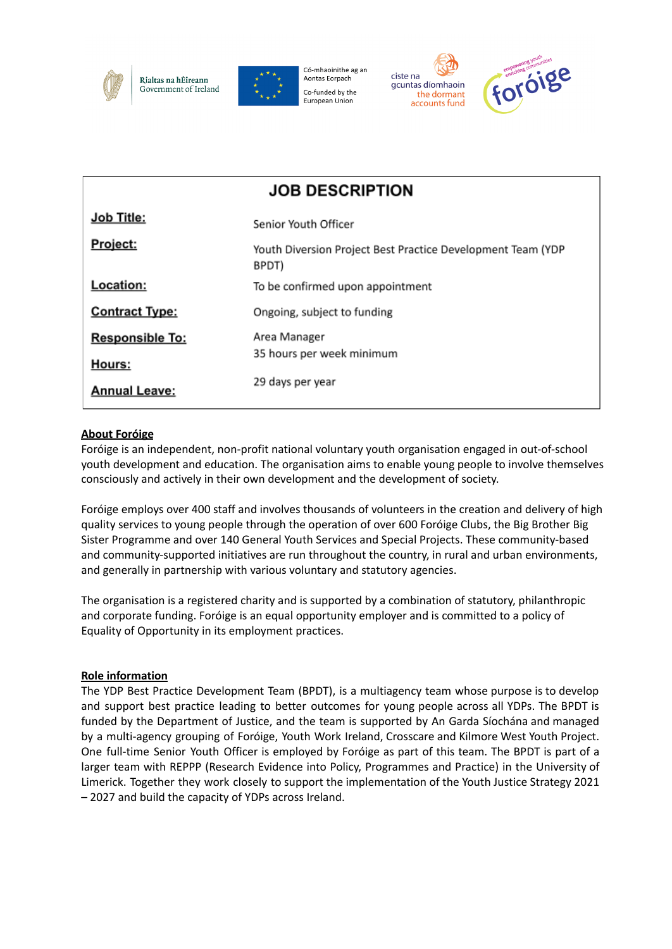

Rialtas na hÉireann Government of Ireland



Có-mhaoinithe ag an Aontas Eorpach Co-funded by the **European Union** 





| <b>JOB DESCRIPTION</b> |                                                                      |
|------------------------|----------------------------------------------------------------------|
| Job Title:             | Senior Youth Officer                                                 |
| Project:               | Youth Diversion Project Best Practice Development Team (YDP<br>BPDT) |
| Location:              | To be confirmed upon appointment                                     |
| <b>Contract Type:</b>  | Ongoing, subject to funding                                          |
| <b>Responsible To:</b> | Area Manager                                                         |
| Hours:                 | 35 hours per week minimum                                            |
| <b>Annual Leave:</b>   | 29 days per year                                                     |

#### **About Foróige**

Foróige is an independent, non-profit national voluntary youth organisation engaged in out-of-school youth development and education. The organisation aims to enable young people to involve themselves consciously and actively in their own development and the development of society.

Foróige employs over 400 staff and involves thousands of volunteers in the creation and delivery of high quality services to young people through the operation of over 600 Foróige Clubs, the Big Brother Big Sister Programme and over 140 General Youth Services and Special Projects. These community-based and community-supported initiatives are run throughout the country, in rural and urban environments, and generally in partnership with various voluntary and statutory agencies.

The organisation is a registered charity and is supported by a combination of statutory, philanthropic and corporate funding. Foróige is an equal opportunity employer and is committed to a policy of Equality of Opportunity in its employment practices.

#### **Role information**

The YDP Best Practice Development Team (BPDT), is a multiagency team whose purpose is to develop and support best practice leading to better outcomes for young people across all YDPs. The BPDT is funded by the Department of Justice, and the team is supported by An Garda Síochána and managed by a multi-agency grouping of Foróige, Youth Work Ireland, Crosscare and Kilmore West Youth Project. One full-time Senior Youth Officer is employed by Foróige as part of this team. The BPDT is part of a larger team with REPPP (Research Evidence into Policy, Programmes and Practice) in the University of Limerick. Together they work closely to support the implementation of the Youth Justice Strategy 2021 – 2027 and build the capacity of YDPs across Ireland.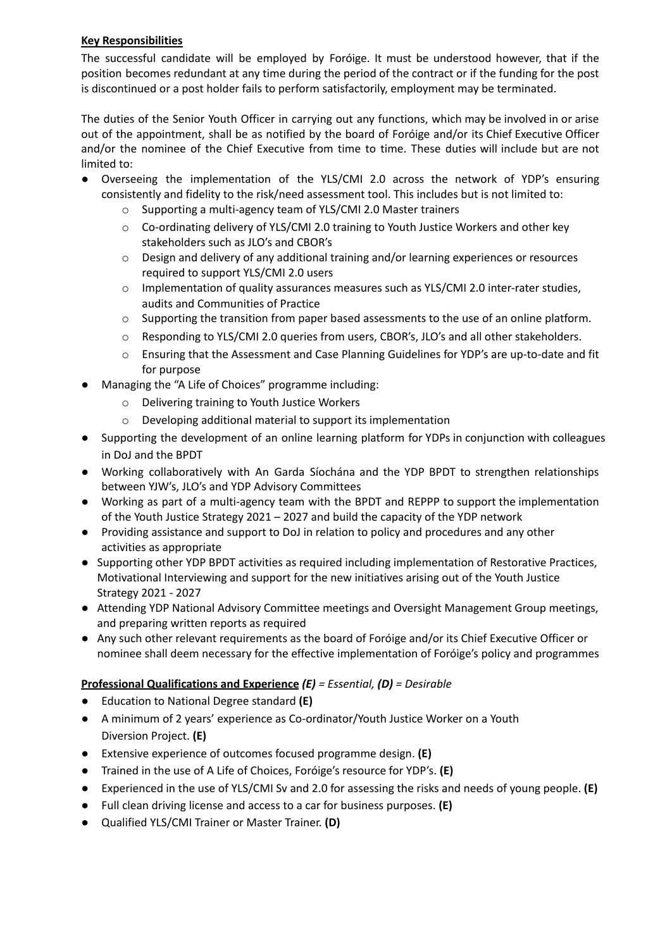## **Key Responsibilities**

The successful candidate will be employed by Foróige. It must be understood however, that if the position becomes redundant at any time during the period of the contract or if the funding for the post is discontinued or a post holder fails to perform satisfactorily, employment may be terminated.

The duties of the Senior Youth Officer in carrying out any functions, which may be involved in or arise out of the appointment, shall be as notified by the board of Foróige and/or its Chief Executive Officer and/or the nominee of the Chief Executive from time to time. These duties will include but are not limited to:

- Overseeing the implementation of the YLS/CMI 2.0 across the network of YDP's ensuring consistently and fidelity to the risk/need assessment tool. This includes but is not limited to:
	- o Supporting a multi-agency team of YLS/CMI 2.0 Master trainers
	- o Co-ordinating delivery of YLS/CMI 2.0 training to Youth Justice Workers and other key stakeholders such as JLO's and CBOR's
	- o Design and delivery of any additional training and/or learning experiences or resources required to support YLS/CMI 2.0 users
	- o Implementation of quality assurances measures such as YLS/CMI 2.0 inter-rater studies, audits and Communities of Practice
	- o Supporting the transition from paper based assessments to the use of an online platform.
	- o Responding to YLS/CMI 2.0 queries from users, CBOR's, JLO's and all other stakeholders.
	- o Ensuring that the Assessment and Case Planning Guidelines for YDP's are up-to-date and fit for purpose
- Managing the "A Life of Choices" programme including:
	- o Delivering training to Youth Justice Workers
	- o Developing additional material to support its implementation
- Supporting the development of an online learning platform for YDPs in conjunction with colleagues in DoJ and the BPDT
- Working collaboratively with An Garda Síochána and the YDP BPDT to strengthen relationships between YJW's, JLO's and YDP Advisory Committees
- Working as part of a multi-agency team with the BPDT and REPPP to support the implementation of the Youth Justice Strategy 2021 – 2027 and build the capacity of the YDP network
- Providing assistance and support to DoJ in relation to policy and procedures and any other activities as appropriate
- Supporting other YDP BPDT activities as required including implementation of Restorative Practices, Motivational Interviewing and support for the new initiatives arising out of the Youth Justice Strategy 2021 - 2027
- Attending YDP National Advisory Committee meetings and Oversight Management Group meetings, and preparing written reports as required
- Any such other relevant requirements as the board of Foróige and/or its Chief Executive Officer or nominee shall deem necessary for the effective implementation of Foróige's policy and programmes

## **Professional Qualifications and Experience** *(E) = Essential, (D) = Desirable*

- **●** Education to National Degree standard **(E)**
- **●** A minimum of 2 years' experience as Co-ordinator/Youth Justice Worker on a Youth Diversion Project. **(E)**
- **●** Extensive experience of outcomes focused programme design. **(E)**
- **●** Trained in the use of A Life of Choices, Foróige's resource for YDP's. **(E)**
- **●** Experienced in the use of YLS/CMI Sv and 2.0 for assessing the risks and needs of young people. **(E)**
- **●** Full clean driving license and access to a car for business purposes. **(E)**
- **●** Qualified YLS/CMI Trainer or Master Trainer. **(D)**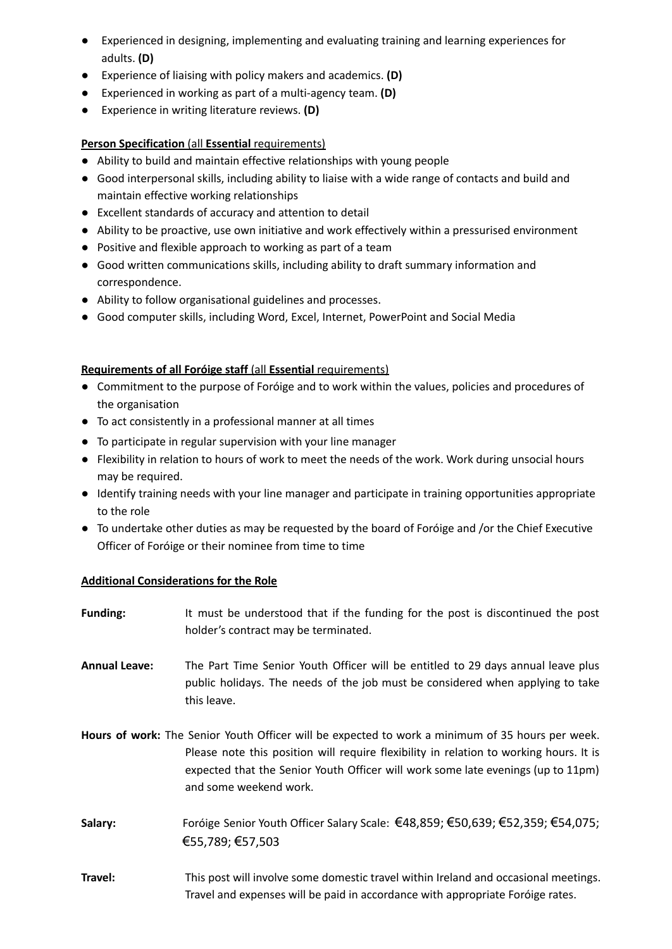- **●** Experienced in designing, implementing and evaluating training and learning experiences for adults. **(D)**
- **●** Experience of liaising with policy makers and academics. **(D)**
- **●** Experienced in working as part of a multi-agency team. **(D)**
- **●** Experience in writing literature reviews. **(D)**

# **Person Specification** (all **Essential** requirements)

- Ability to build and maintain effective relationships with young people
- Good interpersonal skills, including ability to liaise with a wide range of contacts and build and maintain effective working relationships
- Excellent standards of accuracy and attention to detail
- Ability to be proactive, use own initiative and work effectively within a pressurised environment
- Positive and flexible approach to working as part of a team
- Good written communications skills, including ability to draft summary information and correspondence.
- Ability to follow organisational guidelines and processes.
- Good computer skills, including Word, Excel, Internet, PowerPoint and Social Media

## **Requirements of all Foróige staff** (all **Essential** requirements)

- Commitment to the purpose of Foróige and to work within the values, policies and procedures of the organisation
- To act consistently in a professional manner at all times
- To participate in regular supervision with your line manager
- Flexibility in relation to hours of work to meet the needs of the work. Work during unsocial hours may be required.
- Identify training needs with your line manager and participate in training opportunities appropriate to the role
- To undertake other duties as may be requested by the board of Foróige and /or the Chief Executive Officer of Foróige or their nominee from time to time

## **Additional Considerations for the Role**

**Funding:** It must be understood that if the funding for the post is discontinued the post holder's contract may be terminated. **Annual Leave:** The Part Time Senior Youth Officer will be entitled to 29 days annual leave plus public holidays. The needs of the job must be considered when applying to take this leave. **Hours of work:** The Senior Youth Officer will be expected to work a minimum of 35 hours per week. Please note this position will require flexibility in relation to working hours. It is expected that the Senior Youth Officer will work some late evenings (up to 11pm) and some weekend work. **Salary:** Foróige Senior Youth Officer Salary Scale: €48,859; €50,639; €52,359; €54,075; €55,789; €57,503 **Travel:** This post will involve some domestic travel within Ireland and occasional meetings. Travel and expenses will be paid in accordance with appropriate Foróige rates.